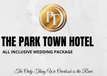

# THE PARK TOWN HOTEL **ALL INCLUSIVE WEDDING PACKAGE**

## The Only Thing We Overlook is the River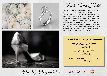



Park Town Hotel

WHEN IT'S TIME TO START PLANNING YOUR SPECIAL DAY, LET THE PARK TOWN HOTEL'S WEDDING SPECIALISTS HELP YOU CREATE A ONCE IN A LIFETIME EXPERIENCE, WHETHER YOU'RE LOOKING TO HOST AN ELABORATE RECEPTION, AN INTIMATE GATHERING, OR SIMPLY NEED A PLACE TO SAY "I DO", THE PARK TOWN HOTEL OFFERS EVERY CLIENT THE ABILITY TO HELP MAKE THEIR DREAM WEDDING COME TO LIFE. FROM OUR ALL INCLUSIVE WEDDING PACKAGE TO OUR A LA CARTE MENU OPTIONS, THE PARK TOWN HOTEL WILL BE WITH YOU EVERY STEP ON THE WAY.

## AVAILABLE BANQUET ROOMS

CEDAR ROOM 160 GUESTS (MAXIMUM)

OAK ROOM 120 GUESTS (MAXIMUM)

SOUTH DINING ROOM 50 GUESTS (MAXIMUM)

The Only Thing We Overlook is the River

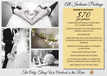



All Inclusive Package

MINIMUM 50 PEOPLE

 $\oint_{\it{per}}$   $ZO$ <br>per person per person

COMPLIMENTARY BANQUET ROOM WITH FULL CATERED DINNER

COMPLETE ROOM SET UP, INCLUDING HOTEL NAPKINS, TABLECLOTHS

BARTENDER FEE

COMPLIMENTARY EXECUTIVE KING ROOM FOR THE BRIDE & GROOM ON THE EVENING OF THE WEDDING

ROMANCE PACKAGE ADDED TO WEDDING COUPLE ROOM

TAXES & GRATUITIES INCLUDED

SOCAN & RESOUND FEE INCLUDED

A/V PACKAGE INCLUDING LCD PROJECTOR, SCREEN & COMPUTER AUDIO CONNECTION

TABLE SERVICE FOR THE HEAD TABLE

The Only Thing We Overlook is the River

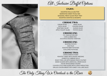

All Inclusive Buffet Options

#### ENJOY:

ASSORTED ROLLS & BUTTER MARINATED SWEET PICKLE MIX SEASONAL FRESH SLICED FRUIT TRAY ASSORTED DAINTIES & DESSERTS

#### CHOOSE TWO:

CAESAR SALAD GREEK SALAD PASTA SALAD CHICKPEA SALAD VEGETABLE SALAD QUINOA SALAD APPLE YOGURT SALAD POTATO SALAD

## CHOOSE ONE:

P.E.I. BEAN & CORN MIX CORN & GREEN PEAS ZUCCHINI & ROASTED TOMATOES

## CHOOSE ONE:

WHIPPED POTATO RICE PILAF ROASTED BABY POTATOES SCALLOPED POTATOES

#### CHOOSE TWO:

CARVED BARON OF BEEF ROASTED TURKEY WITH SAVORY DRESSING HOMESTYLE CABBAGE ROLLS ROAST PORK LOIN WITH MANGO PEACH CHUTNEY BAKED SALMON WITH LEMON DILL CREAM SAUCE HOUSE SPICED BAKED CHICKEN COUNTRY STYLE HAM GLAZED WITH A PEACH REDUCTION GRILLED CHICKEN BREAST WITH SWEET CHILI-LIME SAUCE

The Only Thing We Overlook is the River

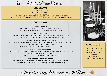All Inclusive Plated Options

#### CHOOSE ONE:

TOMATO ORZO SOUP ROASTED CORN CHOWDER HEARTY LENTIL SOUP MIXED GREENS, CHERRY TOMATOES & CUCUMBERS WITH A RED PEPPER VINAIGRETTE SPRING MIX GREENS, ORANGE SEGMENTS, FETA & SLICED ALMONDS WITH A CITRUS VINAIGRETTE

#### CHOOSE ONE:

#### **BAKED SALMON**

PANKO DUSTED SALMON FILET WITH A TANGY CITRUS SALSA SERVED WITH BLENDED WILD RICE & SEASONAL VEGETABLES

#### **ROAST PORK LOIN**

APPLE & CRANBERRY STUFFED PORK LOIN WITH CRANBERRY MARSALA REDUCTION SERVED WITH BABY ROASTED POTATOES & SEASONAL VEGETABLES

#### **BAKED MEDITERRANEAN CHICKEN SUPREME**

BONELESS CHICKEN BREAST IN A PUFF PASTRY STUFFED WITH SPINACH, BASIL & FETA CHEESE TOPPED WITH A PESTO CREAM REDUCTION SERVED WITH HERB MASHED POTATOES & SEASONAL VEGETABLES

#### **FESTIVE SPICE RUBBED TURKEY**

SPICE RUBBED TURKEY WITH SAVORY DRESSING, ACCOMPANIED BY CREAMY GARLIC MASHED POTATOES & SEASONAL VEGETABLES SERVED WITH PAN GRAVY & CRANBERRIES ON THE SIDE

#### **SLOW ROASTED PRIME RIB OF BEEF**

SLOW ROASTED PRIME RIB BEEF SERVED WITH RED WINE JUS, YORKSHIRE PUDDING SERVED WITH OVEN ROAST BABY POTATOES & SEASONAL VEGETABLES



#### CHOOSE ONE:

CHOCOLATE TORTE (GF) CHOCOLATE LAVA CAKE VANILLA BEAN CREME BRULEE RED VELVET TORTE CARAMEL APPLE CHEESECAKE

The Only Thing We Overlook is the River

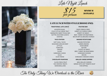

Late Night Lunch

**MINIMUM** 30 PEOPLE

#### LATE LUNCH WITH STYLE (CHOOSE ONE):

 $\frac{\cancel{8}}{\cancel{2}}$  the person

per person

#### **TRADITIONAL LATE LUNCH POUTINE BAR**

COLD CUTS & CHEESE TRAY VARIETY OF CHEESE CURDS MARINATED SWEET PICKLE MIX VARIETY OF GRAVY:

SEASONED GROUND BEEF GREEN ONIONS TOMATOES BUTTER

ASSORTED BUNS CRISPY FRENCH FRIES BUTTER, MUSTARD & MAYO BEEF, TURKEY OR VEGETARIAN DAINTIES BACON BITS & GROUND CHORIZO

#### **TACO STATION MASHED POTATO BAR**

SOFT SHELL TACOS MASHED POTATOES LETTUCE SOUR CREAM ONIONS CHOICE OF GRAVY: OLIVES BEEF, TURKEY OR VEGETARIAN SHREDDED CHEESE SHREDDED CHICKEN SALSA BACON SOUR CREAM SHREDDED CHEDDAR CHEESE

#### **CHOCOLATE FOUNTAIN GRILLED CHEESE DIPPERS**

SLICED FRESH FRUIT MINI GRILLED CHEESES RICE KRISPIES TREATS SERVED WITH HOT TOMATO SOUP MARSHMALLOWS FOR DIPPING

The Only Thing We Overlook is the River

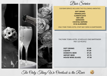





Bar Service

#### OUR BAR SERVICE INCLUDES THE FOLLOWING AMENITIES:

**SOFT DRINKS ORANGE JUICE CLAMATO JUICE BAR LIME GARNISHES COCKTAIL NAPKINS ICE & GLASSWARE**

ONLY PARK TOWN HOTEL STAFF MAY SERVE AS BARTENDERS

#### THE PARK TOWN HOTEL SCHEDULES ONE BARTENDER PER 120 PEOPLE

| <b>SOFT DRINKS</b>        | \$3.00 |
|---------------------------|--------|
| <b>LIQUOR</b>             | \$7.50 |
| <b>DOMESTIC BEER</b>      | \$7.25 |
| <b>IMPORT BEER</b>        | \$7.75 |
| <b>HOUSE WINE (GLASS)</b> | \$7.50 |

The Only Thing We Overlook is the River

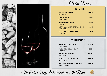

Wine Menu

#### RED WINE:

| <b>YELLOW TAIL SHIRAZ</b><br>(AUSTRALIA)             | \$32.00 |
|------------------------------------------------------|---------|
| <b>ALAMOS MALBEC</b><br>(ARGENTINA)                  | \$33.00 |
| <b>FAT BASTARD MERLOT</b><br>(FRANCE)                | \$35.00 |
| <b>SANTA JULIA CABERNET SAUVIGNON</b><br>(ARGENTINA) | \$36.00 |
| <b>KIM CRAWFORD PINOT NOIR</b><br>(NEW ZEALAND)      | \$46.00 |

#### WHITE WINE:

| <b>JACOBS CREEK MOSCATO</b><br>(AUSTRALIA)     | \$33.00 |
|------------------------------------------------|---------|
| <b>SANTA JULIA CHARDONNAY</b><br>(ARGENTINA)   | \$34.00 |
| <b>DR. LOOSEN RIESLING</b><br>(GERMANY)        | \$35.00 |
| <b>YELLOW TAIL PINOT GRIGIO</b><br>(AUSTRALIA) | \$36.00 |
| KIM CRAWFORD SAUVIGNON BLANC<br>(NEW ZEALAND)  | \$44.00 |



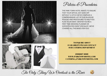

Policies & Procedures

THE PARK TOWN HOTEL WANTS TO ENSURE THAT YOUR SEPCIAL DAY GOES OFF WITHOUT A HITCH! WE'VE COMPILED A COMPREHENSIVE LIST OF OUR IN-HOUSE POLICIES AND PROCEDURES TO HELP YOU PLAN YOUR EVENT. WHETER YOU'RE A FIRST TIME WEDDING PLANNER OR SOPHISTICATED EVENT SPECIALIST, WE'VE COVERED ALL THE BASES FOR YOU!

> TO INQUIRE ABOUT AVAILABILITY PLEASE CONTACT OUR CATERING DEPARTMENT

(306)667-6068 WWW.PARKTOWNHOTEL.COM CATERING@PARKTOWNHOTEL.COM



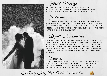

Food & Beverage

DUE TO CITY AND PROVINCIAL HEALTH REGULATIONS, THE PARK TOWN HOTEL DOES NOT PERMIT ANY OUTSIDE FOOD AND BEVERAGE THE HOTEL CAN NOT GUARANTEE NUT FREE MEALS OR DESSERTS.

Guarantees

A GUARANTEED NUMBER OF GUESTS ATTENDING YOUR EVENT IS REQUIRED THREE FULL BUSINESS DAYS PRIOR TO THE EVENT. IF THE GUARANTEED NUMBER HAS NOT BEEN RECEIVED, THE BILLING WILL BE MADE OUT FOR THE NUMBER OF PERSONS FOR WHICH THE FUNCTION WAS ORIGINALLY BOOKED, OR THE NUMBER IN ATTENDANCE. WHICHEVER IS GREATER.

Deposits & Cancellations

ALL SOCIAL OR PRIVATE EVENTS REQUIRE A \$750.00 ADVANCED DEPOSIT AND A CREDIT CARD WITHIN 30 DAYS OF BOOKING. AN ADDITIONAL DEPOSIT FOR 80% OF THE REMAINING BALANCE WILL BE REQUIRED 2 WEEKS PRIOR TO THE DATE OF THE FUNCTION, WITH THE REMAINING BALANCE DUE TO THE NIGHT OF THE EVENT. IN THE EVENT OF A CANCELLATION ALL DEPOSITS ARE NON-REFUNDABLE AND REQUIRE A WRITTEN CANCELLATION LETTER DIRECTED TO THE CATERING DEPARTMENT.

Damages

THE PARK TOWN HOTEL RESERVES THE RIGHT TO INSPECT AND CONTROL ALL PRIVATE FUNCTIONS. LIABILITY FOR ANY DAMAGES TO THE PREMISES WILL BE CHARGED ACCORDINGLY. THE CONVENERS OF ANY FUNCTION ARE HELD RESPONSIBLE FOR ANY DAMAGES TO THE PREMISES BY THEIR GUESTS.

The Only Thing We Overlook is the River

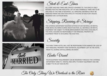

Start & End Times

ALL START AND END TIMES ARE STRICKLY ADHERED TO. THE SPACE IS ONLY BOOKED FOR THE TIME INDICATED. SET-UP AND DISMANTLE TIMES ARE TO BE SPECIFIED AT THE TIME OF BOOKING. ALL PERSONAL MATERIALS MUST BE REMOVED FROM THE FUNCTION SPACE AT THE END OF EACH DAY UNLESS RESERVED ON A 24 HOUR BASIS.

Shipping, Receiving & Storage

THE CATERING DEPARTMENT MUST BE NOTIFIED OF ANY MATERIAL OR RENTAL ITEMS BEING DELIVERED DURING YOUR FUNCTION. ALL MATERIALS OR RENTAL EQUIPMENT ARE SUBJECT TO PRIOR ARRANGEMENTS AND SPACE AVAILABILITY. THE HOTEL ASSUMES NO RESPONSIBILITY FOR PERSONAL PROPERTY OR EQUIPMENT PRIOR TO OR DURING THE FUNCTION.

**Security** 

THE PARK TOWN HOTEL WILL NOT BE RESPONSIBLE FOR DAMAGE OR LOSS OF ANY PERSONAL PROPERTY AND OR RENTAL EQUIPMENT LEFT IN THE HOTEL PRIOR TO, DURING OR FOLLOWING AN EVENT.

Audio Visual

YOUR EQUIPMENT REQUIREMENT CAN BE RESERVED THROUGH THE CATERING DEPARTMENT DIRECTLY. RENTAL FEES APPLY TO MOST EQUIPMENT AND ARE SUBJECT TO 5% GST AND 6% PST.